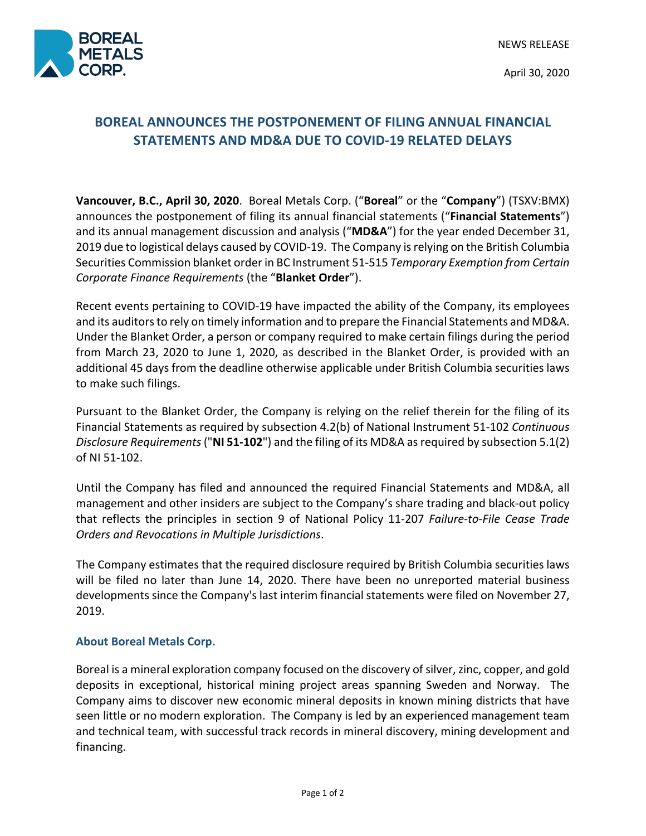

April 30, 2020

## **BOREAL ANNOUNCES THE POSTPONEMENT OF FILING ANNUAL FINANCIAL STATEMENTS AND MD&A DUE TO COVID-19 RELATED DELAYS**

**Vancouver, B.C., April 30, 2020**. Boreal Metals Corp. ("**Boreal**" or the "**Company**") (TSXV:BMX) announces the postponement of filing its annual financial statements ("**Financial Statements**") and its annual management discussion and analysis ("**MD&A**") for the year ended December 31, 2019 due to logistical delays caused by COVID-19. The Company is relying on the British Columbia Securities Commission blanket order in BC Instrument 51-515 *Temporary Exemption from Certain Corporate Finance Requirements* (the "**Blanket Order**").

Recent events pertaining to COVID-19 have impacted the ability of the Company, its employees and its auditors to rely on timely information and to prepare the Financial Statements and MD&A. Under the Blanket Order, a person or company required to make certain filings during the period from March 23, 2020 to June 1, 2020, as described in the Blanket Order, is provided with an additional 45 days from the deadline otherwise applicable under British Columbia securities laws to make such filings.

Pursuant to the Blanket Order, the Company is relying on the relief therein for the filing of its Financial Statements as required by subsection 4.2(b) of National Instrument 51-102 *Continuous Disclosure Requirements* ("**NI 51-102**") and the filing of its MD&A as required by subsection 5.1(2) of NI 51-102.

Until the Company has filed and announced the required Financial Statements and MD&A, all management and other insiders are subject to the Company's share trading and black-out policy that reflects the principles in section 9 of National Policy 11-207 *Failure-to-File Cease Trade Orders and Revocations in Multiple Jurisdictions*.

The Company estimates that the required disclosure required by British Columbia securities laws will be filed no later than June 14, 2020. There have been no unreported material business developments since the Company's last interim financial statements were filed on November 27, 2019.

## **About Boreal Metals Corp.**

Boreal is a mineral exploration company focused on the discovery of silver, zinc, copper, and gold deposits in exceptional, historical mining project areas spanning Sweden and Norway. The Company aims to discover new economic mineral deposits in known mining districts that have seen little or no modern exploration. The Company is led by an experienced management team and technical team, with successful track records in mineral discovery, mining development and financing.